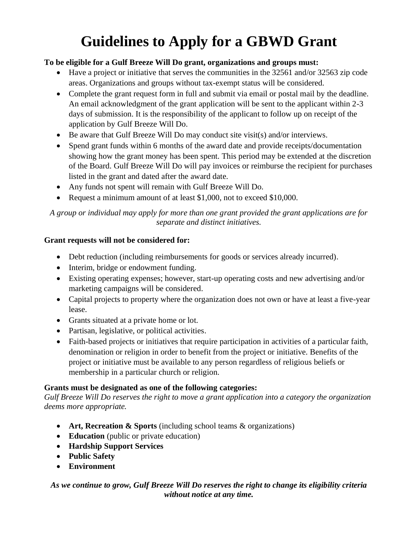# **Guidelines to Apply for a GBWD Grant**

## **To be eligible for a Gulf Breeze Will Do grant, organizations and groups must:**

- Have a project or initiative that serves the communities in the 32561 and/or 32563 zip code areas. Organizations and groups without tax-exempt status will be considered.
- Complete the grant request form in full and submit via email or postal mail by the deadline. An email acknowledgment of the grant application will be sent to the applicant within 2-3 days of submission. It is the responsibility of the applicant to follow up on receipt of the application by Gulf Breeze Will Do.
- Be aware that Gulf Breeze Will Do may conduct site visit(s) and/or interviews.
- Spend grant funds within 6 months of the award date and provide receipts/documentation showing how the grant money has been spent. This period may be extended at the discretion of the Board. Gulf Breeze Will Do will pay invoices or reimburse the recipient for purchases listed in the grant and dated after the award date.
- Any funds not spent will remain with Gulf Breeze Will Do.
- Request a minimum amount of at least \$1,000, not to exceed \$10,000.

*A group or individual may apply for more than one grant provided the grant applications are for separate and distinct initiatives.*

# **Grant requests will not be considered for:**

- Debt reduction (including reimbursements for goods or services already incurred).
- Interim, bridge or endowment funding.
- Existing operating expenses; however, start-up operating costs and new advertising and/or marketing campaigns will be considered.
- Capital projects to property where the organization does not own or have at least a five-year lease.
- Grants situated at a private home or lot.
- Partisan, legislative, or political activities.
- Faith-based projects or initiatives that require participation in activities of a particular faith, denomination or religion in order to benefit from the project or initiative. Benefits of the project or initiative must be available to any person regardless of religious beliefs or membership in a particular church or religion.

# **Grants must be designated as one of the following categories:**

*Gulf Breeze Will Do reserves the right to move a grant application into a category the organization deems more appropriate.*

- **Art, Recreation & Sports** (including school teams & organizations)
- **Education** (public or private education)
- **Hardship Support Services**
- **Public Safety**
- **Environment**

## *As we continue to grow, Gulf Breeze Will Do reserves the right to change its eligibility criteria without notice at any time.*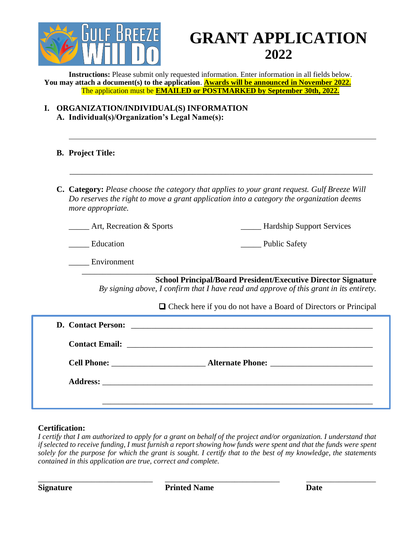

# **GRANT APPLICATION 2022**

**Instructions:** Please submit only requested information. Enter information in all fields below. **You may attach a document(s) to the application**. **Awards will be announced in November 2022.** The application must be **EMAILED or POSTMARKED by September 30th, 2022.**

**I. ORGANIZATION/INDIVIDUAL(S) INFORMATION A. Individual(s)/Organization's Legal Name(s):**

#### **B. Project Title:**

**C. Category:** *Please choose the category that applies to your grant request. Gulf Breeze Will Do reserves the right to move a grant application into a category the organization deems more appropriate.*

\_\_\_\_\_\_\_\_\_\_\_\_\_\_\_\_\_\_\_\_\_\_\_\_\_\_\_\_\_\_\_\_\_\_\_\_\_\_\_\_\_\_\_\_\_\_\_\_\_\_\_\_\_\_\_\_\_\_\_\_\_\_\_\_\_\_\_\_\_\_\_\_\_\_

\_\_\_\_\_ Art, Recreation & Sports \_\_\_\_\_ Hardship Support Services

Education **Exercise Education Education Exercise Education Exercise Education Exercise Equation Exercise Equation Exercise Equation Exercise Equation Exercise Equation Exercise Equation Exercise Equatio** 

\_\_\_\_\_ Environment

 \_\_\_\_\_\_\_\_\_\_\_\_\_\_\_\_\_\_\_\_\_\_\_\_\_\_\_\_\_\_\_\_\_\_\_\_\_\_\_\_\_\_\_\_\_\_\_\_\_\_\_\_\_\_\_\_\_\_\_\_\_\_\_\_\_\_\_\_\_\_\_ **School Principal/Board President/Executive Director Signature**

*By signing above, I confirm that I have read and approve of this grant in its entirety.*

□ Check here if you do not have a Board of Directors or Principal

| Cell Phone: <u>New Alternate Phone:</u> |
|-----------------------------------------|
|                                         |
|                                         |

#### **Certification:**

*I certify that I am authorized to apply for a grant on behalf of the project and/or organization. I understand that if selected to receive funding, I must furnish a report showing how funds were spent and that the funds were spent solely for the purpose for which the grant is sought. I certify that to the best of my knowledge, the statements contained in this application are true, correct and complete.*

\_\_\_\_\_\_\_\_\_\_\_\_\_\_\_\_\_\_\_\_\_\_\_\_\_\_\_\_ \_\_\_\_\_\_\_\_\_\_\_\_\_\_\_\_\_\_\_\_\_\_\_\_\_\_\_\_ \_\_\_\_\_\_\_\_\_\_\_\_\_\_\_\_\_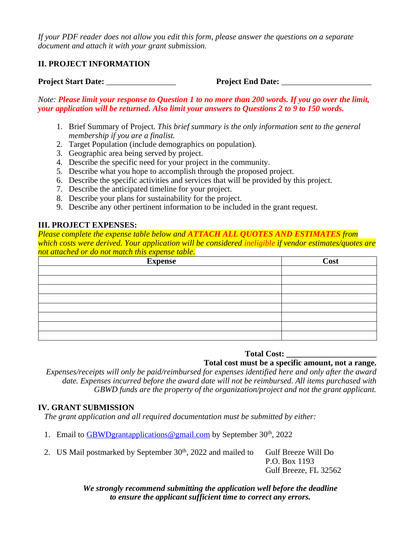*If your PDF reader does not allow you edit this form, please answer the questions on a separate document and attach it with your grant submission.*

### **II. PROJECT INFORMATION**

**Project Start Date:** \_\_\_\_\_\_\_\_\_\_\_\_\_\_\_\_\_ **Project End Date:** \_\_\_\_\_\_\_\_\_\_\_\_\_\_\_\_\_\_\_\_\_\_

*Note: Please limit your response to Question 1 to no more than 200 words. If you go over the limit, your application will be returned. Also limit your answers to Questions 2 to 9 to 150 words.*

- 1. Brief Summary of Project. *This brief summary is the only information sent to the general membership if you are a finalist.*
- 2. Target Population (include demographics on population).
- 3. Geographic area being served by project.
- 4. Describe the specific need for your project in the community.
- 5. Describe what you hope to accomplish through the proposed project.
- 6. Describe the specific activities and services that will be provided by this project.
- 7. Describe the anticipated timeline for your project.
- 8. Describe your plans for sustainability for the project.
- 9. Describe any other pertinent information to be included in the grant request.

#### **III. PROJECT EXPENSES:**

*Please complete the expense table below and ATTACH ALL QUOTES AND ESTIMATES from which costs were derived. Your application will be considered ineligible if vendor estimates/quotes are not attached or do not match this expense table.*

| <b>Expense</b> | <b>Cost</b> |
|----------------|-------------|
|                |             |
|                |             |
|                |             |
|                |             |
|                |             |
|                |             |
|                |             |
|                |             |

#### **Total Cost: \_\_\_\_\_\_\_\_\_\_\_\_\_\_\_\_\_\_\_\_\_\_**

**Total cost must be a specific amount, not a range.**

*Expenses/receipts will only be paid/reimbursed for expenses identified here and only after the award date. Expenses incurred before the award date will not be reimbursed. All items purchased with GBWD funds are the property of the organization/project and not the grant applicant.*

#### **IV. GRANT SUBMISSION**

*The grant application and all required documentation must be submitted by either:*

- 1. Email to **GBWD**grantapplications @gmail.com by September 30<sup>th</sup>, 2022
- 2. US Mail postmarked by September 30<sup>th</sup>, 2022 and mailed to Gulf Breeze Will Do

P.O. Box 1193 Gulf Breeze, FL 32562

*We strongly recommend submitting the application well before the deadline to ensure the applicant sufficient time to correct any errors.*